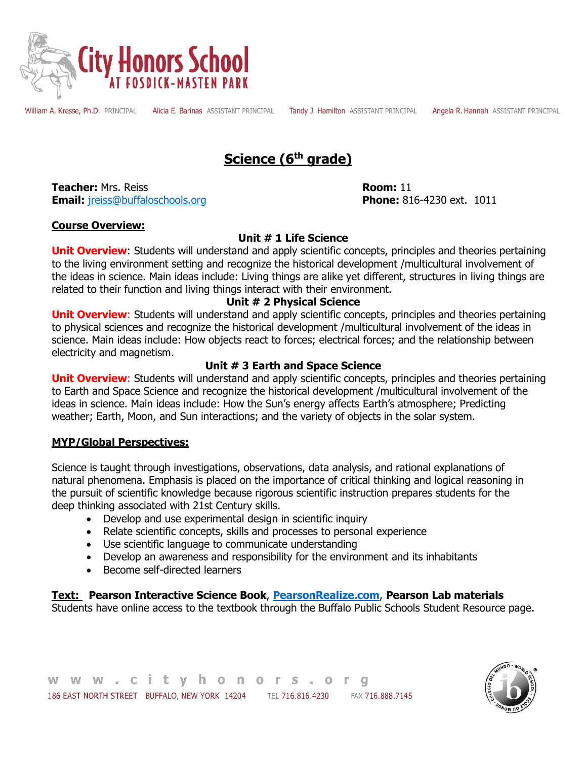

William A. Kresse, Ph.D. PRINCIPAL

Alicia E. Barinas ASSISTANT PRINCIPAL

Tandy J. Hamilton ASSISTANT PRINCIPAL

Angela R. Hannah ASSISTANT PRINCIPAL

# **Science (6th grade)**

**Teacher:** Mrs. Reiss **Room:** 11 **Email:** [jreiss@buffaloschools.org](mailto:jreiss@buffaloschools.org) **Phone:** 816-4230 ext. 1011

# **Course Overview:**

# **Unit # 1 Life Science**

**Unit Overview:** Students will understand and apply scientific concepts, principles and theories pertaining to the living environment setting and recognize the historical development /multicultural involvement of the ideas in science. Main ideas include: Living things are alike yet different, structures in living things are related to their function and living things interact with their environment.

# **Unit # 2 Physical Science**

**Unit Overview:** Students will understand and apply scientific concepts, principles and theories pertaining to physical sciences and recognize the historical development /multicultural involvement of the ideas in science. Main ideas include: How objects react to forces; electrical forces; and the relationship between electricity and magnetism.

# **Unit # 3 Earth and Space Science**

**Unit Overview**: Students will understand and apply scientific concepts, principles and theories pertaining to Earth and Space Science and recognize the historical development /multicultural involvement of the ideas in science. Main ideas include: How the Sun's energy affects Earth's atmosphere; Predicting weather; Earth, Moon, and Sun interactions; and the variety of objects in the solar system.

# **MYP/Global Perspectives:**

Science is taught through investigations, observations, data analysis, and rational explanations of natural phenomena. Emphasis is placed on the importance of critical thinking and logical reasoning in the pursuit of scientific knowledge because rigorous scientific instruction prepares students for the deep thinking associated with 21st Century skills.

- Develop and use experimental design in scientific inquiry
- Relate scientific concepts, skills and processes to personal experience
- Use scientific language to communicate understanding
- Develop an awareness and responsibility for the environment and its inhabitants
- Become self-directed learners

# **Text: Pearson Interactive Science Book**, **[PearsonRealize.com](file:///C:/Users/hgerb043/Downloads/DRAFT%206th%20Grade%20Pacing%20Life%20Science.docx)**, **Pearson Lab materials**

Students have online access to the textbook through the Buffalo Public Schools Student Resource page.